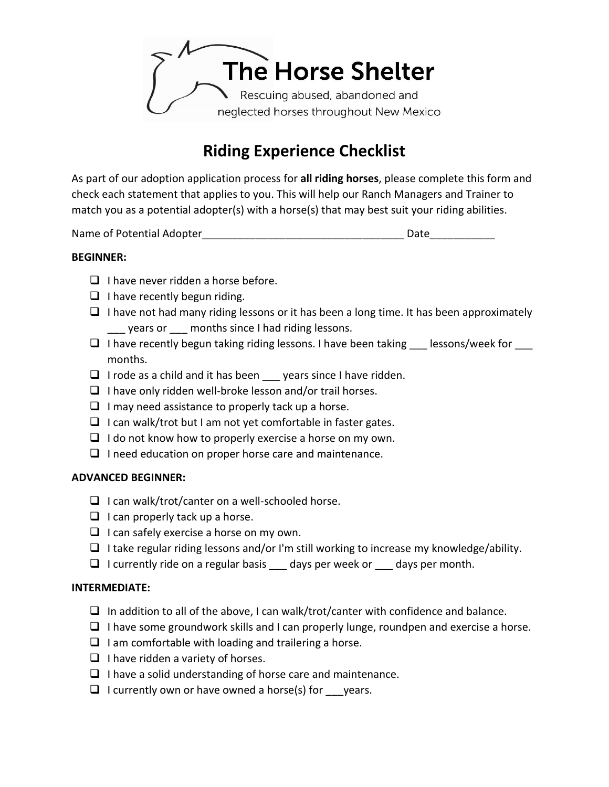

# **Riding Experience Checklist**

As part of our adoption application process for **all riding horses**, please complete this form and check each statement that applies to you. This will help our Ranch Managers and Trainer to match you as a potential adopter(s) with a horse(s) that may best suit your riding abilities.

Name of Potential Adopter\_\_\_\_\_\_\_\_\_\_\_\_\_\_\_\_\_\_\_\_\_\_\_\_\_\_\_\_\_\_\_\_\_\_ Date\_\_\_\_\_\_\_\_\_\_\_

## **BEGINNER:**

- ❑ I have never ridden a horse before.
- $\Box$  I have recently begun riding.
- $\Box$  I have not had many riding lessons or it has been a long time. It has been approximately years or earch months since I had riding lessons.
- $\Box$  I have recently begun taking riding lessons. I have been taking lessons/week for months.
- ❑ I rode as a child and it has been \_\_\_ years since I have ridden.
- $\Box$  I have only ridden well-broke lesson and/or trail horses.
- $\Box$  I may need assistance to properly tack up a horse.
- ❑ I can walk/trot but I am not yet comfortable in faster gates.
- $\Box$  I do not know how to properly exercise a horse on my own.
- ❑ I need education on proper horse care and maintenance.

## **ADVANCED BEGINNER:**

- $\Box$  I can walk/trot/canter on a well-schooled horse.
- $\Box$  I can properly tack up a horse.
- $\Box$  I can safely exercise a horse on my own.
- ❑ I take regular riding lessons and/or I'm still working to increase my knowledge/ability.
- $\Box$  I currently ride on a regular basis days per week or days per month.

## **INTERMEDIATE:**

- $\Box$  In addition to all of the above, I can walk/trot/canter with confidence and balance.
- $\Box$  I have some groundwork skills and I can properly lunge, roundpen and exercise a horse.
- $\Box$  I am comfortable with loading and trailering a horse.
- $\Box$  I have ridden a variety of horses.
- ❑ I have a solid understanding of horse care and maintenance.
- $\Box$  I currently own or have owned a horse(s) for  $\rule{1em}{0.15mm}$  years.